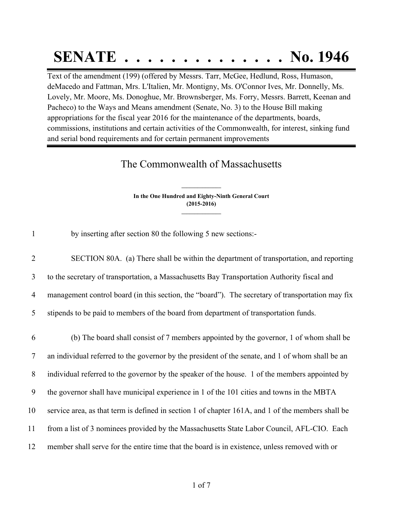## **SENATE . . . . . . . . . . . . . . No. 1946**

Text of the amendment (199) (offered by Messrs. Tarr, McGee, Hedlund, Ross, Humason, deMacedo and Fattman, Mrs. L'Italien, Mr. Montigny, Ms. O'Connor Ives, Mr. Donnelly, Ms. Lovely, Mr. Moore, Ms. Donoghue, Mr. Brownsberger, Ms. Forry, Messrs. Barrett, Keenan and Pacheco) to the Ways and Means amendment (Senate, No. 3) to the House Bill making appropriations for the fiscal year 2016 for the maintenance of the departments, boards, commissions, institutions and certain activities of the Commonwealth, for interest, sinking fund and serial bond requirements and for certain permanent improvements

## The Commonwealth of Massachusetts

**In the One Hundred and Eighty-Ninth General Court (2015-2016) \_\_\_\_\_\_\_\_\_\_\_\_\_\_\_**

**\_\_\_\_\_\_\_\_\_\_\_\_\_\_\_**

1 by inserting after section 80 the following 5 new sections:-

 SECTION 80A. (a) There shall be within the department of transportation, and reporting to the secretary of transportation, a Massachusetts Bay Transportation Authority fiscal and management control board (in this section, the "board"). The secretary of transportation may fix stipends to be paid to members of the board from department of transportation funds.

 (b) The board shall consist of 7 members appointed by the governor, 1 of whom shall be an individual referred to the governor by the president of the senate, and 1 of whom shall be an individual referred to the governor by the speaker of the house. 1 of the members appointed by the governor shall have municipal experience in 1 of the 101 cities and towns in the MBTA service area, as that term is defined in section 1 of chapter 161A, and 1 of the members shall be from a list of 3 nominees provided by the Massachusetts State Labor Council, AFL-CIO. Each member shall serve for the entire time that the board is in existence, unless removed with or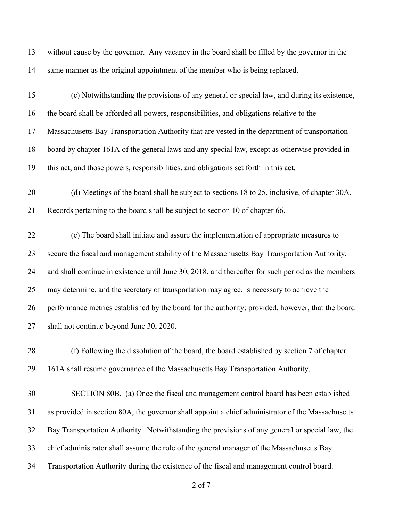| 13 | without cause by the governor. Any vacancy in the board shall be filled by the governor in the     |
|----|----------------------------------------------------------------------------------------------------|
| 14 | same manner as the original appointment of the member who is being replaced.                       |
| 15 | (c) Notwithstanding the provisions of any general or special law, and during its existence,        |
| 16 | the board shall be afforded all powers, responsibilities, and obligations relative to the          |
| 17 | Massachusetts Bay Transportation Authority that are vested in the department of transportation     |
| 18 | board by chapter 161A of the general laws and any special law, except as otherwise provided in     |
| 19 | this act, and those powers, responsibilities, and obligations set forth in this act.               |
| 20 | (d) Meetings of the board shall be subject to sections 18 to 25, inclusive, of chapter 30A.        |
| 21 | Records pertaining to the board shall be subject to section 10 of chapter 66.                      |
| 22 | (e) The board shall initiate and assure the implementation of appropriate measures to              |
| 23 | secure the fiscal and management stability of the Massachusetts Bay Transportation Authority,      |
| 24 | and shall continue in existence until June 30, 2018, and thereafter for such period as the members |
| 25 | may determine, and the secretary of transportation may agree, is necessary to achieve the          |
| 26 | performance metrics established by the board for the authority; provided, however, that the board  |
| 27 | shall not continue beyond June 30, 2020.                                                           |
| 28 | (f) Following the dissolution of the board, the board established by section 7 of chapter          |
| 29 | 161A shall resume governance of the Massachusetts Bay Transportation Authority.                    |
| 30 | SECTION 80B. (a) Once the fiscal and management control board has been established                 |
| 31 | as provided in section 80A, the governor shall appoint a chief administrator of the Massachusetts  |
| 32 | Bay Transportation Authority. Notwithstanding the provisions of any general or special law, the    |
| 33 | chief administrator shall assume the role of the general manager of the Massachusetts Bay          |
| 34 | Transportation Authority during the existence of the fiscal and management control board.          |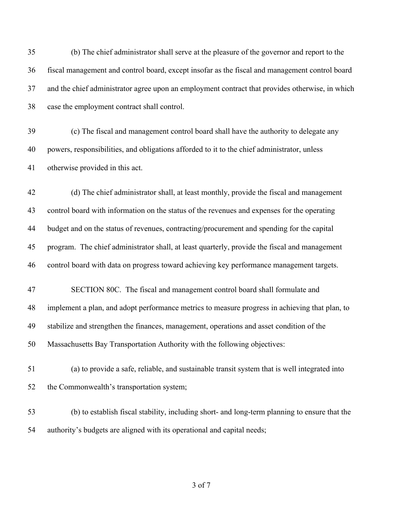(b) The chief administrator shall serve at the pleasure of the governor and report to the fiscal management and control board, except insofar as the fiscal and management control board and the chief administrator agree upon an employment contract that provides otherwise, in which case the employment contract shall control.

 (c) The fiscal and management control board shall have the authority to delegate any powers, responsibilities, and obligations afforded to it to the chief administrator, unless otherwise provided in this act.

 (d) The chief administrator shall, at least monthly, provide the fiscal and management control board with information on the status of the revenues and expenses for the operating budget and on the status of revenues, contracting/procurement and spending for the capital program. The chief administrator shall, at least quarterly, provide the fiscal and management control board with data on progress toward achieving key performance management targets.

- SECTION 80C. The fiscal and management control board shall formulate and implement a plan, and adopt performance metrics to measure progress in achieving that plan, to stabilize and strengthen the finances, management, operations and asset condition of the Massachusetts Bay Transportation Authority with the following objectives:
- (a) to provide a safe, reliable, and sustainable transit system that is well integrated into the Commonwealth's transportation system;
- (b) to establish fiscal stability, including short- and long-term planning to ensure that the authority's budgets are aligned with its operational and capital needs;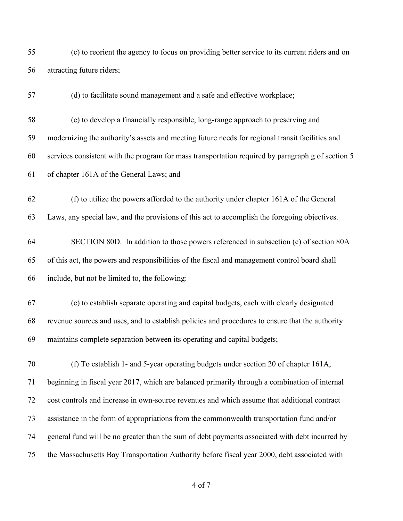(c) to reorient the agency to focus on providing better service to its current riders and on attracting future riders;

(d) to facilitate sound management and a safe and effective workplace;

 (e) to develop a financially responsible, long-range approach to preserving and modernizing the authority's assets and meeting future needs for regional transit facilities and services consistent with the program for mass transportation required by paragraph g of section 5 of chapter 161A of the General Laws; and

 (f) to utilize the powers afforded to the authority under chapter 161A of the General Laws, any special law, and the provisions of this act to accomplish the foregoing objectives.

 SECTION 80D. In addition to those powers referenced in subsection (c) of section 80A of this act, the powers and responsibilities of the fiscal and management control board shall include, but not be limited to, the following:

 (e) to establish separate operating and capital budgets, each with clearly designated revenue sources and uses, and to establish policies and procedures to ensure that the authority maintains complete separation between its operating and capital budgets;

 (f) To establish 1- and 5-year operating budgets under section 20 of chapter 161A, beginning in fiscal year 2017, which are balanced primarily through a combination of internal cost controls and increase in own-source revenues and which assume that additional contract assistance in the form of appropriations from the commonwealth transportation fund and/or general fund will be no greater than the sum of debt payments associated with debt incurred by the Massachusetts Bay Transportation Authority before fiscal year 2000, debt associated with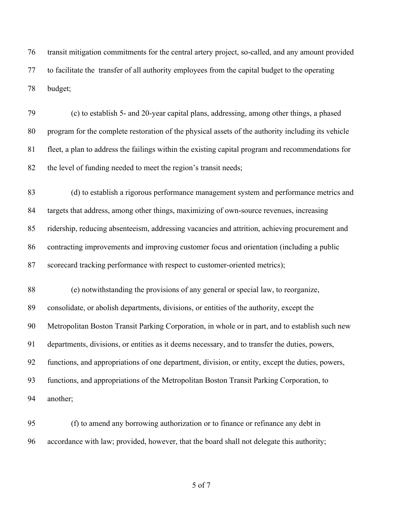transit mitigation commitments for the central artery project, so-called, and any amount provided to facilitate the transfer of all authority employees from the capital budget to the operating budget;

 (c) to establish 5- and 20-year capital plans, addressing, among other things, a phased program for the complete restoration of the physical assets of the authority including its vehicle fleet, a plan to address the failings within the existing capital program and recommendations for the level of funding needed to meet the region's transit needs;

 (d) to establish a rigorous performance management system and performance metrics and targets that address, among other things, maximizing of own-source revenues, increasing ridership, reducing absenteeism, addressing vacancies and attrition, achieving procurement and contracting improvements and improving customer focus and orientation (including a public scorecard tracking performance with respect to customer-oriented metrics);

 (e) notwithstanding the provisions of any general or special law, to reorganize, consolidate, or abolish departments, divisions, or entities of the authority, except the Metropolitan Boston Transit Parking Corporation, in whole or in part, and to establish such new departments, divisions, or entities as it deems necessary, and to transfer the duties, powers, functions, and appropriations of one department, division, or entity, except the duties, powers, functions, and appropriations of the Metropolitan Boston Transit Parking Corporation, to another;

 (f) to amend any borrowing authorization or to finance or refinance any debt in accordance with law; provided, however, that the board shall not delegate this authority;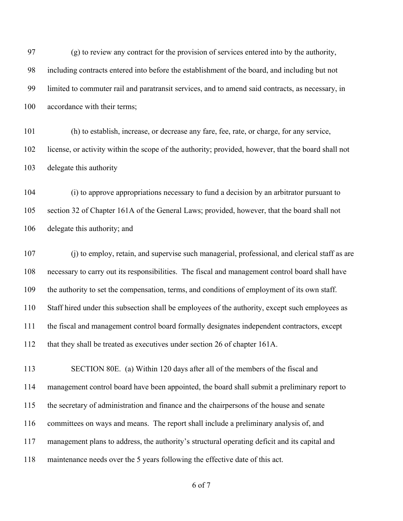(g) to review any contract for the provision of services entered into by the authority, including contracts entered into before the establishment of the board, and including but not limited to commuter rail and paratransit services, and to amend said contracts, as necessary, in 100 accordance with their terms;

 (h) to establish, increase, or decrease any fare, fee, rate, or charge, for any service, license, or activity within the scope of the authority; provided, however, that the board shall not delegate this authority

 (i) to approve appropriations necessary to fund a decision by an arbitrator pursuant to section 32 of Chapter 161A of the General Laws; provided, however, that the board shall not delegate this authority; and

 (j) to employ, retain, and supervise such managerial, professional, and clerical staff as are necessary to carry out its responsibilities. The fiscal and management control board shall have the authority to set the compensation, terms, and conditions of employment of its own staff. Staff hired under this subsection shall be employees of the authority, except such employees as the fiscal and management control board formally designates independent contractors, except that they shall be treated as executives under section 26 of chapter 161A.

 SECTION 80E. (a) Within 120 days after all of the members of the fiscal and management control board have been appointed, the board shall submit a preliminary report to the secretary of administration and finance and the chairpersons of the house and senate committees on ways and means. The report shall include a preliminary analysis of, and management plans to address, the authority's structural operating deficit and its capital and maintenance needs over the 5 years following the effective date of this act.